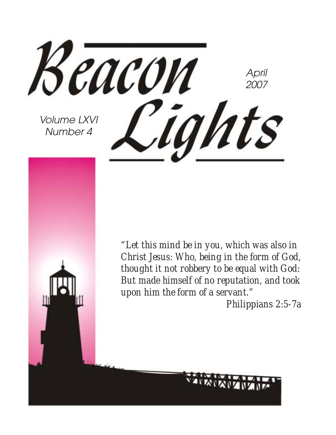Beacon April 2007 Cights Volume LXVI Number 4

*"Let this mind be in you, which was also in Christ Jesus: Who, being in the form of God, thought it not robbery to be equal with God: But made himself of no reputation, and took upon him the form of a servant."*

*Philippians 2:5-7a*

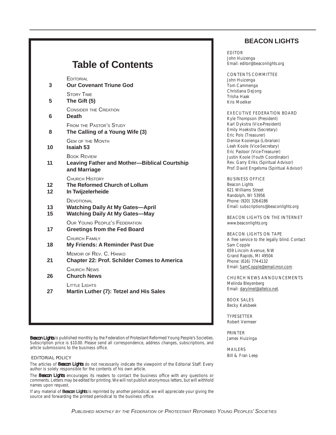| <b>Table of Contents</b>                                                                       |
|------------------------------------------------------------------------------------------------|
|                                                                                                |
| <b>EDITORIAL</b><br><b>Our Covenant Triune God</b>                                             |
| <b>STORY TIME</b><br>The Gift (5)                                                              |
| <b>CONSIDER THE CREATION</b><br><b>Death</b>                                                   |
| <b>FROM THE PASTOR'S STUDY</b><br>The Calling of a Young Wife (3)                              |
| <b>GEM OF THE MONTH</b><br>Isaiah 53                                                           |
| <b>BOOK REVIEW</b><br><b>Leaving Father and Mother-Biblical Courtship</b><br>and Marriage      |
| CHURCH HISTORY<br>The Reformed Church of Lollum<br>In Twijzelerheide                           |
| DEVOTIONAL<br><b>Watching Daily At My Gates-April</b><br><b>Watching Daily At My Gates-May</b> |
| <b>OUR YOUNG PEOPLE'S FEDERATION</b><br><b>Greetings from the Fed Board</b>                    |
| <b>CHURCH FAMILY</b><br>My Friends: A Reminder Past Due                                        |
| MEMOIR OF REV. C. HANKO<br><b>Chapter 22: Prof. Schilder Comes to America</b>                  |
| CHURCH NEWS<br><b>Church News</b>                                                              |
| LITTI F LIGHTS<br>Martin Luther (7): Tetzel and His Sales                                      |
|                                                                                                |
|                                                                                                |

*Beacon Lights* is published monthly by the Federation of Protestant Reformed Young People's Societies. Subscription price is \$10.00. Please send all correspondence, address changes, subscriptions, and article submissions to the business office.

#### EDITORIAL POLICY

The articles of *Beacon Lights* do not necessarily indicate the viewpoint of the Editorial Staff. Every author is solely responsible for the contents of his own article.

The *Beacon Lights* encourages its readers to contact the business office with any questions or comments. Letters may be edited for printing. We will not publish anonymous letters, but will withhold names upon request.

If any material of *Beacon Lights* is reprinted by another periodical, we will appreciate your giving the source and forwarding the printed periodical to the business office.

#### **BEACON LIGHTS**

EDITOR John Huizenga Email: editor@beaconlights.org

CONTENTS COMMITTEE John Huizenga Tom Cammenga Christiana DeJong Trisha Haak Kris Moelker

EXECUTIVE FEDERATION BOARD Kyle Thompson (President) Karl Dykstra (Vice-President) Emily Hoekstra (Secretary) Eric Pols (Treasurer) Denise Kooienga (Librarian) Leah Koole (Vice-Secretary) Eric Pastoor (Vice-Treasurer) Justin Koole (Youth Coordinator) Rev. Garry Eriks (Spiritual Advisor) Prof. David Engelsma (Spiritual Advisor)

BUSINESS OFFICE Beacon Lights 621 Williams Street Randolph, WI 53956 Phone: (920) 326-6186 Email: subscriptions@beaconlights.org

BEACON LIGHTS ON THE INTERNET www.beaconlights.org

BEACON LIGHTS ON TAPE A free service to the legally blind. Contact Sam Copple 659 Lincoln Avenue, NW Grand Rapids, MI 49504 Phone: (616) 774-4132 Email: SamCopple@email.msn.com

CHURCH NEWS ANNOUNCEMENTS Melinda Bleyenberg Email: darylmel@altelco.net.

BOOK SALES Becky Kalsbeek

TYPESETTER Robert Vermeer

PRINTER James Huizinga

MAILERS Bill & Fran Leep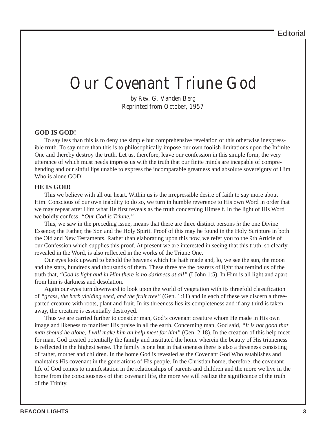## Our Covenant Triune God

by Rev. G. Vanden Berg Reprinted from October, 1957

#### **GOD IS GOD!**

To say less than this is to deny the simple but comprehensive revelation of this otherwise inexpressible truth. To say more than this is to philosophically impose our own foolish limitations upon the Infinite One and thereby destroy the truth. Let us, therefore, leave our confession in this simple form, the very utterance of which must needs impress us with the truth that our finite minds are incapable of comprehending and our sinful lips unable to express the incomparable greatness and absolute sovereignty of Him Who is alone GOD!

#### **HE IS GOD!**

This we believe with all our heart. Within us is the irrepressible desire of faith to say more about Him. Conscious of our own inability to do so, we turn in humble reverence to His own Word in order that we may repeat after Him what He first reveals as the truth concerning Himself. In the light of His Word we boldly confess, *"Our God is Triune."*

This, we saw in the preceding issue, means that there are three distinct persons *in* the one Divine Essence; the Father, the Son and the Holy Spirit. Proof of this may he found in the Holy Scripture in both the Old and New Testaments. Rather than elaborating upon this now, we refer you to the 9th Article of our Confession which supplies this proof. At present we are interested in seeing that this truth, so clearly revealed in the Word, is also reflected in the works of the Triune One.

Our eyes look upward to behold the heavens which He hath made and, lo, we see the sun, the moon and the stars, hundreds and thousands of them. These three are the bearers of light that remind us of the truth that, *"God is light and in Him there is no darkness at all"* (I John 1:5). In Him is all light and apart from him is darkness and desolation.

Again our eyes turn downward to look upon the world of vegetation with its threefold classification of *"grass, the herb yielding seed, and the fruit tree"* (Gen. 1:11) and in each of these we discern a threeparted creature with roots, plant and fruit. In its threeness lies its completeness and if any third is taken away, the creature is essentially destroyed.

Thus we are carried further to consider man, God's covenant creature whom He made in His own image and likeness to manifest His praise in all the earth. Concerning man, God said, *"It is not good that man should he alone; I will make him an help meet for him"* (Gen. 2:18). In the creation of this help meet for man, God created potentially the family and instituted the home wherein the beauty of His triuneness is reflected in the highest sense. The family is one but in that oneness there is also a threeness consisting of father, mother and children. In the home God is revealed as the Covenant God Who establishes and maintains His covenant in the generations of His people. In the Christian home, therefore, the covenant life of God comes to manifestation in the relationships of parents and children and the more we live in the home from the consciousness of that covenant life, the more we will realize the significance of the truth of the Trinity.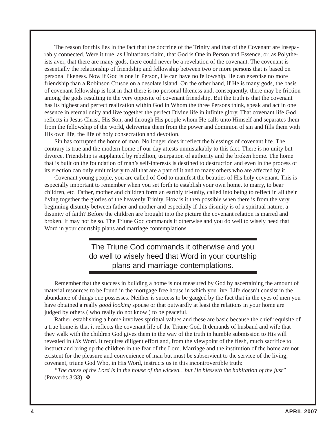The reason for this lies in the fact that the doctrine of the Trinity and that of the Covenant are inseparably connected. Were it true, as Unitarians claim, that God is One in Person and Essence, or, as Polytheists aver, that there are many gods, there could never be a revelation of the covenant. The covenant is essentially the relationship of friendship and fellowship between two or more persons that is based on personal likeness. Now if God is one in Person, He can have no fellowship. He can exercise no more friendship than a Robinson Crusoe on a desolate island. On the other hand, if He is many gods, the basis of covenant fellowship is lost in that there is no personal likeness and, consequently, there may be friction among the gods resulting in the very opposite of covenant friendship. But the truth is that the covenant has its highest and perfect realization within God in Whom the three Persons think, speak and act in one essence in eternal unity and live together the perfect Divine life in infinite glory. That covenant life God reflects in Jesus Christ, His Son, and through His people whom He calls unto Himself and separates them from the fellowship of the world, delivering them from the power and dominion of sin and fills them with His own life, the life of holy consecration and devotion.

Sin has corrupted the home of man. No longer does it reflect the blessings of covenant life. The contrary is true and the modern home of our day attests unmistakably to this fact. There is no unity but divorce. Friendship is supplanted by rebellion, usurpation of authority and the broken home. The home that is built on the foundation of man's self-interests is destined to destruction and even in the process of its erection can only emit misery to all that are a part of it and to many others who are affected by it.

Covenant young people, you are called of God to manifest the beauties of His holy covenant. This is especially important to remember when you set forth to establish your own home, to marry, to bear children, etc. Father, mother and children form an earthly tri-unity, called into being to reflect in all their living together the glories of the heavenly Trinity. How is it then possible when there is from the very beginning disunity between father and mother and especially if this disunity is of a spiritual nature, a disunity of faith? Before the children are brought into the picture the covenant relation is marred and broken. It may not be so. The Triune God commands it otherwise and you do well to wisely heed that Word in your courtship plans and marriage contemplations.

> The Triune God commands it otherwise and you do well to wisely heed that Word in your courtship plans and marriage contemplations.

Remember that the success in building a home is not measured by God by ascertaining the amount of material resources to be found in the mortgage free house in which you live. Life doesn't consist in the abundance of things one possesses. Neither is success to be gauged by the fact that in the eyes of men you have obtained a really *good looking* spouse or that outwardly at least the relations in your home are judged by others ( who really do not know ) to be peaceful.

Rather, establishing a home involves spiritual values and these are basic because the chief requisite of a true home is that it reflects the covenant life of the Triune God. It demands of husband and wife that they walk with the children God gives them in the way of the truth in humble submission to His will revealed in *His* Word. It requires diligent effort and, from the viewpoint of the flesh, much sacrifice to instruct and bring up the children in the fear of the Lord. Marriage and the institution of the home are not existent for the pleasure and convenience of man but must be subservient to the service of the living, covenant, triune God Who, in His Word, instructs us in this incontrovertible truth:

*"The curse of the Lord is* in *the house of the wicked…but He blesseth the habitation of the just"* (Proverbs 3:33). ❖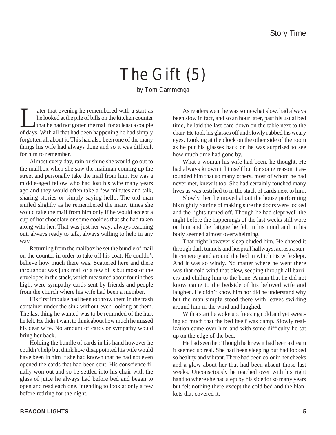# The Gift (5)

by Tom Cammenga

T<br>
ater that evening he remembered with a start as<br>
that he looked at the pile of bills on the kitchen counter<br>
that he had not gotten the mail for at least a couple<br>
of days With all that had been hannening he had simply he looked at the pile of bills on the kitchen counter that he had not gotten the mail for at least a couple of days. With all that had been happening he had simply forgotten all about it. This had also been one of the many things his wife had always done and so it was difficult for him to remember.

Almost every day, rain or shine she would go out to the mailbox when she saw the mailman coming up the street and personally take the mail from him. He was a middle-aged fellow who had lost his wife many years ago and they would often take a few minutes and talk, sharing stories or simply saying hello. The old man smiled slightly as he remembered the many times she would take the mail from him only if he would accept a cup of hot chocolate or some cookies that she had taken along with her. That was just her way; always reaching out, always ready to talk, always willing to help in any way.

Returning from the mailbox he set the bundle of mail on the counter in order to take off his coat. He couldn't believe how much there was. Scattered here and there throughout was junk mail or a few bills but most of the envelopes in the stack, which measured about four inches high, were sympathy cards sent by friends and people from the church where his wife had been a member.

His first impulse had been to throw them in the trash container under the sink without even looking at them. The last thing he wanted was to be reminded of the hurt he felt. He didn't want to think about how much he missed his dear wife. No amount of cards or sympathy would bring her back.

Holding the bundle of cards in his hand however he couldn't help but think how disappointed his wife would have been in him if she had known that he had not even opened the cards that had been sent. His conscience finally won out and so he settled into his chair with the glass of juice he always had before bed and began to open and read each one, intending to look at only a few before retiring for the night.

As readers went he was somewhat slow, had always been slow in fact, and so an hour later, past his usual bed time, he laid the last card down on the table next to the chair. He took his glasses off and slowly rubbed his weary eyes. Looking at the clock on the other side of the room as he put his glasses back on he was surprised to see how much time had gone by.

What a woman his wife had been, he thought. He had always known it himself but for some reason it astounded him that so many others, most of whom he had never met, knew it too. She had certainly touched many lives as was testified to in the stack of cards next to him.

Slowly then he moved about the house performing his nightly routine of making sure the doors were locked and the lights turned off. Though he had slept well the night before the happenings of the last weeks still wore on him and the fatigue he felt in his mind and in his body seemed almost overwhelming.

That night however sleep eluded him. He chased it through dark tunnels and hospital hallways, across a sunlit cemetery and around the bed in which his wife slept. And it was so windy. No matter where he went there was that cold wind that blew, seeping through all barriers and chilling him to the bone. A man that he did not know came to the bedside of his beloved wife and laughed. He didn't know him nor did he understand why but the man simply stood there with leaves swirling around him in the wind and laughed.

With a start he woke up, freezing cold and yet sweating so much that the bed itself was damp. Slowly realization came over him and with some difficulty he sat up on the edge of the bed.

He had seen her. Though he knew it had been a dream it seemed so real. She had been sleeping but had looked so healthy and vibrant. There had been color in her cheeks and a glow about her that had been absent those last weeks. Unconsciously he reached over with his right hand to where she had slept by his side for so many years but felt nothing there except the cold bed and the blankets that covered it.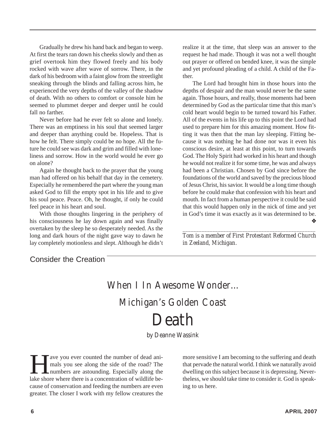Gradually he drew his hand back and began to weep. At first the tears ran down his cheeks slowly and then as grief overtook him they flowed freely and his body rocked with wave after wave of sorrow. There, in the dark of his bedroom with a faint glow from the streetlight sneaking through the blinds and falling across him, he experienced the very depths of the valley of the shadow of death. With no others to comfort or console him he seemed to plummet deeper and deeper until he could fall no farther.

Never before had he ever felt so alone and lonely. There was an emptiness in his soul that seemed larger and deeper than anything could be. Hopeless. That is how he felt. There simply could be no hope. All the future he could see was dark and grim and filled with loneliness and sorrow. How in the world would he ever go on alone?

Again he thought back to the prayer that the young man had offered on his behalf that day in the cemetery. Especially he remembered the part where the young man asked God to fill the empty spot in his life and to give his soul peace. Peace. Oh, he thought, if only he could feel peace in his heart and soul.

With those thoughts lingering in the periphery of his consciousness he lay down again and was finally overtaken by the sleep he so desperately needed. As the long and dark hours of the night gave way to dawn he lay completely motionless and slept. Although he didn't realize it at the time, that sleep was an answer to the request he had made. Though it was not a well thought out prayer or offered on bended knee, it was the simple and yet profound pleading of a child. A child of the Father.

The Lord had brought him in those hours into the depths of despair and the man would never be the same again. Those hours, and really, those moments had been determined by God as the particular time that this man's cold heart would begin to be turned toward his Father. All of the events in his life up to this point the Lord had used to prepare him for this amazing moment. How fitting it was then that the man lay sleeping. Fitting because it was nothing he had done nor was it even his conscious desire, at least at this point, to turn towards God. The Holy Spirit had worked in his heart and though he would not realize it for some time, he was and always had been a Christian. Chosen by God since before the foundations of the world and saved by the precious blood of Jesus Christ, his savior. It would be a long time though before he could make that confession with his heart and mouth. In fact from a human perspective it could be said that this would happen only in the nick of time and yet in God's time it was exactly as it was determined to be. ❖

*\_\_\_\_\_\_\_\_\_\_\_\_\_\_\_\_\_\_\_\_\_\_\_\_\_\_\_\_\_\_\_\_\_\_\_\_\_\_\_\_\_\_\_\_\_\_\_\_\_ Tom is a member of First Protestant Reformed Church in Zeeland, Michigan.*

### Consider the Creation

### When I In Awesome Wonder… Michigan's Golden Coast Death

by Deanne Wassink

The voul ever counted the number of dead ani-<br>mals you see along the side of the road? The<br>numbers are astounding. Especially along the<br>lake shore where there is a concentration of wildlife bemals you see along the side of the road? The numbers are astounding. Especially along the lake shore where there is a concentration of wildlife because of conservation and feeding the numbers are even greater. The closer I work with my fellow creatures the

more sensitive I am becoming to the suffering and death that pervade the natural world. I think we naturally avoid dwelling on this subject because it is depressing. Nevertheless, we should take time to consider it. God is speaking to us here.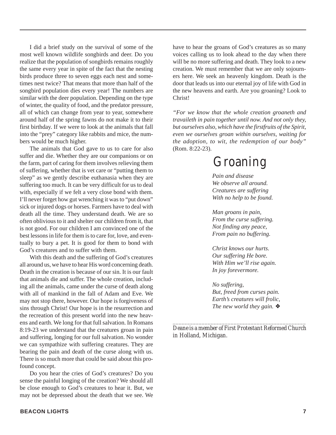I did a brief study on the survival of some of the most well known wildlife songbirds and deer. Do you realize that the population of songbirds remains roughly the same every year in spite of the fact that the nesting birds produce three to seven eggs each nest and sometimes nest twice? That means that more than half of the songbird population dies every year! The numbers are similar with the deer population. Depending on the type of winter, the quality of food, and the predator pressure, all of which can change from year to year, somewhere around half of the spring fawns do not make it to their first birthday. If we were to look at the animals that fall into the "prey" category like rabbits and mice, the numbers would be much higher.

The animals that God gave to us to care for also suffer and die. Whether they are our companions or on the farm, part of caring for them involves relieving them of suffering, whether that is vet care or "putting them to sleep" as we gently describe euthanasia when they are suffering too much. It can be very difficult for us to deal with, especially if we felt a very close bond with them. I'll never forget how gut wrenching it was to "put down" sick or injured dogs or horses. Farmers have to deal with death all the time. They understand death. We are so often oblivious to it and shelter our children from it, that is not good. For our children I am convinced one of the best lessons in life for them is to care for, love, and eventually to bury a pet. It is good for them to bond with God's creatures and to suffer with them.

With this death and the suffering of God's creatures all around us, we have to hear His word concerning death. Death in the creation is because of our sin. It is our fault that animals die and suffer. The whole creation, including all the animals, came under the curse of death along with all of mankind in the fall of Adam and Eve. We may not stop there, however. Our hope is forgiveness of sins through Christ! Our hope is in the resurrection and the recreation of this present world into the new heavens and earth. We long for that full salvation. In Romans 8:19-23 we understand that the creatures groan in pain and suffering, longing for our full salvation. No wonder we can sympathize with suffering creatures. They are bearing the pain and death of the curse along with us. There is so much more that could be said about this profound concept.

Do you hear the cries of God's creatures? Do you sense the painful longing of the creation? We should all be close enough to God's creatures to hear it. But, we may not be depressed about the death that we see. We have to hear the groans of God's creatures as so many voices calling us to look ahead to the day when there will be no more suffering and death. They look to a new creation. We must remember that we are only sojourners here. We seek an heavenly kingdom. Death is the door that leads us into our eternal joy of life with God in the new heavens and earth. Are you groaning? Look to Christ!

*"For we know that the whole creation groaneth and travaileth in pain together until now. And not only they, but ourselves also, which have the firstfruits of the Spirit, even we ourselves groan within ourselves, waiting for the adoption, to wit, the redemption of our body"* (Rom. 8:22-23).

### Groaning

*Pain and disease We observe all around. Creatures are suffering With no help to be found.*

*Man groans in pain, From the curse suffering. Not finding any peace, From pain no buffering.*

*Christ knows our hurts. Our suffering He bore. With Him we'll rise again. In joy forevermore.*

*No suffering, But, freed from curses pain. Earth's creatures will frolic, The new world they gain.* ❖

*\_\_\_\_\_\_\_\_\_\_\_\_\_\_\_\_\_\_\_\_\_\_\_\_\_\_\_\_\_\_\_\_\_\_\_\_\_\_\_\_\_\_\_\_\_\_ Deane is a member of First Protestant Reformed Church in Holland, Michigan.*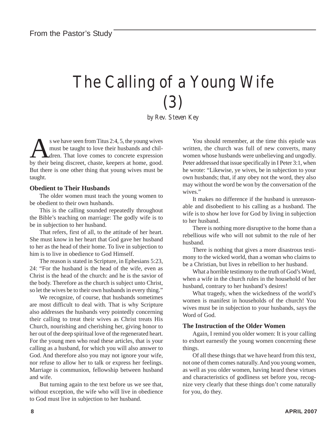# The Calling of a Young Wife (3)

by Rev. Steven Key

S we have seen from Titus 2:4, 5, the young wives<br>
must be taught to love their husbands and chil-<br>
dren. That love comes to concrete expression<br>
hy their being discret, chaste, keepers at home, good must be taught to love their husbands and children. That love comes to concrete expression by their being discreet, chaste, keepers at home, good. But there is one other thing that young wives must be taught.

#### **Obedient to Their Husbands**

The older women must teach the young women to be obedient to their own husbands.

This is the calling sounded repeatedly throughout the Bible's teaching on marriage: The godly wife is to be in subjection to her husband.

That refers, first of all, to the attitude of her heart. She must know in her heart that God gave her husband to her as the head of their home. To live in subjection to him is to live in obedience to God Himself.

The reason is stated in Scripture, in Ephesians 5:23, 24: "For the husband is the head of the wife, even as Christ is the head of the church: and he is the savior of the body. Therefore as the church is subject unto Christ, so let the wives be to their own husbands in every thing."

We recognize, of course, that husbands sometimes are most difficult to deal with. That is why Scripture also addresses the husbands very pointedly concerning their calling to treat their wives as Christ treats His Church, nourishing and cherishing her, giving honor to her out of the deep spiritual love of the regenerated heart. For the young men who read these articles, that is your calling as a husband, for which you will also answer to God. And therefore also you may not ignore your wife, nor refuse to allow her to talk or express her feelings. Marriage is communion, fellowship between husband and wife.

But turning again to the text before us we see that, without exception, the wife who will live in obedience to God must live in subjection to her husband.

You should remember, at the time this epistle was written, the church was full of new converts, many women whose husbands were unbelieving and ungodly. Peter addressed that issue specifically in I Peter 3:1, when he wrote: "Likewise, ye wives, be in subjection to your own husbands; that, if any obey not the word, they also may without the word be won by the conversation of the wives."

It makes no difference if the husband is unreasonable and disobedient to his calling as a husband. The wife is to show her love for God by living in subjection to her husband.

There is nothing more disruptive to the home than a rebellious wife who will not submit to the rule of her husband.

There is nothing that gives a more disastrous testimony to the wicked world, than a woman who claims to be a Christian, but lives in rebellion to her husband.

What a horrible testimony to the truth of God's Word, when a wife in the church rules in the household of her husband, contrary to her husband's desires!

What tragedy, when the wickedness of the world's women is manifest in households of the church! You wives must be in subjection to your husbands, says the Word of God.

#### **The Instruction of the Older Women**

Again, I remind you older women: It is your calling to exhort earnestly the young women concerning these things.

Of all these things that we have heard from this text, not one of them comes naturally. And you young women, as well as you older women, having heard these virtues and characteristics of godliness set before you, recognize very clearly that these things don't come naturally for you, do they.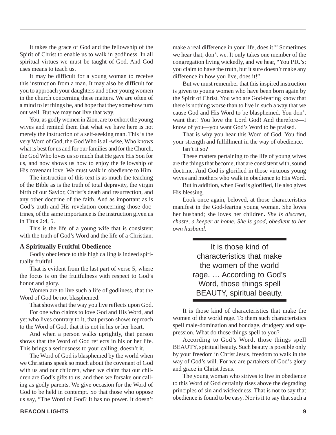It takes the grace of God and the fellowship of the Spirit of Christ to enable us to walk in godliness. In all spiritual virtues we must be taught of God. And God uses means to teach us.

It may be difficult for a young woman to receive this instruction from a man. It may also be difficult for you to approach your daughters and other young women in the church concerning these matters. We are often of a mind to let things be, and hope that they somehow turn out well. But we may not live that way.

You, as godly women in Zion, are to exhort the young wives and remind them that what we have here is not merely the instruction of a self-seeking man. This is the very Word of God, the God Who is all-wise, Who knows what is best for us and for our families and for the Church, the God Who loves us so much that He gave His Son for us, and now shows us how to enjoy the fellowship of His covenant love. We must walk in obedience to Him.

The instruction of this text is as much the teaching of the Bible as is the truth of total depravity, the virgin birth of our Savior, Christ's death and resurrection, and any other doctrine of the faith. And as important as is God's truth and His revelation concerning those doctrines, of the same importance is the instruction given us in Titus 2:4, 5.

This is the life of a young wife that is consistent with the truth of God's Word and the life of a Christian.

#### **A Spiritually Fruitful Obedience**

Godly obedience to this high calling is indeed spiritually fruitful.

That is evident from the last part of verse 5, where the focus is on the fruitfulness with respect to God's honor and glory.

Women are to live such a life of godliness, that the Word of God be not blasphemed.

That shows that the way you live reflects upon God.

For one who claims to love God and His Word, and yet who lives contrary to it, that person shows reproach to the Word of God, that it is not in his or her heart.

And when a person walks uprightly, that person shows that the Word of God reflects in his or her life. This brings a seriousness to your calling, doesn't it.

The Word of God is blasphemed by the world when we Christians speak so much about the covenant of God with us and our children, when we claim that our children are God's gifts to us, and then we forsake our calling as godly parents. We give occasion for the Word of God to be held in contempt. So that those who oppose us say, "The Word of God? It has no power. It doesn't make a real difference in your life, does it!" Sometimes we hear that, don't we. It only takes one member of the congregation living wickedly, and we hear, "You P.R.'s; you claim to have the truth, but it sure doesn't make any difference in how you live, does it!"

But we must remember that this inspired instruction is given to young women who have been born again by the Spirit of Christ. You who are God-fearing know that there is nothing worse than to live in such a way that we cause God and His Word to be blasphemed. You don't want that! You love the Lord God! And therefore—I know of you—you want God's Word to be praised.

That is why you hear this Word of God. You find your strength and fulfillment in the way of obedience.

Isn't it so?

These matters pertaining to the life of young wives are the things that become, that are consistent with, sound doctrine. And God is glorified in those virtuous young wives and mothers who walk in obedience to His Word.

But in addition, when God is glorified, He also gives His blessing.

Look once again, beloved, at those characteristics manifest in the God-fearing young woman. She loves her husband; she loves her children**.** *She is discreet, chaste, a keeper at home. She is good, obedient to her own husband.*

> It is those kind of characteristics that make the women of the world rage. … According to God's Word, those things spell BEAUTY, spiritual beauty.

It is those kind of characteristics that make the women of the world rage. To them such characteristics spell male-domination and bondage, drudgery and suppression. What do those things spell to you?

According to God's Word, those things spell BEAUTY, spiritual beauty. Such beauty is possible only by your freedom in Christ Jesus, freedom to walk in the way of God's will. For we are partakers of God's glory and grace in Christ Jesus.

The young woman who strives to live in obedience to this Word of God certainly rises above the degrading principles of sin and wickedness. That is not to say that obedience is found to be easy. Nor is it to say that such a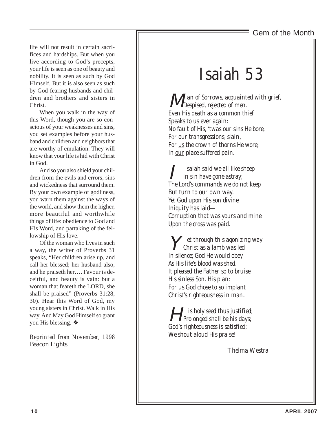### Gem of the Month

life will not result in certain sacrifices and hardships. But when you live according to God's precepts, your life is seen as one of beauty and nobility. It is seen as such by God Himself. But it is also seen as such by God-fearing husbands and children and brothers and sisters in Christ.

When you walk in the way of this Word, though you are so conscious of your weaknesses and sins, you set examples before your husband and children and neighbors that are worthy of emulation. They will know that your life is hid with Christ in God.

And so you also shield your children from the evils and errors, sins and wickedness that surround them. By your own example of godliness, you warn them against the ways of the world, and show them the higher, more beautiful and worthwhile things of life: obedience to God and His Word, and partaking of the fellowship of His love.

Of the woman who lives in such a way, the writer of Proverbs 31 speaks, "Her children arise up, and call her blessed; her husband also, and he praiseth her…. Favour is deceitful, and beauty is vain: but a woman that feareth the LORD, she shall be praised" (Proverbs 31:28, 30). Hear this Word of God, my young sisters in Christ. Walk in His way. And May God Himself so grant you His blessing. ❖

*\_\_\_\_\_\_\_\_\_\_\_\_\_\_\_\_\_\_\_\_\_\_\_\_\_\_\_\_\_\_\_\_\_\_\_\_\_\_\_\_\_\_\_\_\_\_\_\_\_\_\_ Reprinted from November, 1998* Beacon Lights*.*

### Isaiah 53

M *an of Sorrows, acquainted with grief, Despised, rejected of men. Even His death as a common thief Speaks to us ever again: No fault of His, 'twas our sins He bore, For our transgressions, slain, For us the crown of thorns He wore; In our place suffered pain.*

saiah said we all like sheep *In sin have gone astray; The Lord's commands we do not keep But turn to our own way. Yet God upon His son divine Iniquity has laid— Corruption that was yours and mine Upon the cross was paid.*

Y *et through this agonizing way Christ as a lamb was led In silence; God He would obey As His life's blood was shed. It pleased the Father so to bruise His sinless Son. His plan: For us God chose to so implant Christ's righteousness in man*.

H *is holy seed thus justified; Prolonged shall be his days; God's righteousness is satisfied; We shout aloud His praise!*

Thelma Westra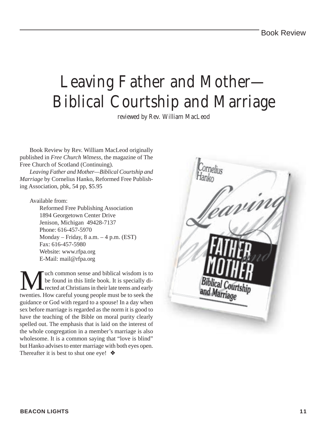## Leaving Father and Mother— Biblical Courtship and Marriage

reviewed by Rev. William MacLeod

Book Review by Rev. William MacLeod originally published in *Free Church Witness,* the magazine of The Free Church of Scotland (Continuing).

*Leaving Father and Mother—Biblical Courtship and Marriage* by Cornelius Hanko, Reformed Free Publishing Association, pbk, 54 pp, \$5.95

#### Available from:

Reformed Free Publishing Association 1894 Georgetown Center Drive Jenison, Michigan 49428-7137 Phone: 616-457-5970 Monday – Friday, 8 a.m. – 4 p.m. (EST) Fax: 616-457-5980 Website: www.rfpa.org E-Mail: mail@rfpa.org

We found in this little book. It is specially directed at Christians in their late teens and early twenties. How careful young people must be to seek the be found in this little book. It is specially directed at Christians in their late teens and early twenties. How careful young people must be to seek the guidance or God with regard to a spouse! In a day when sex before marriage is regarded as the norm it is good to have the teaching of the Bible on moral purity clearly spelled out. The emphasis that is laid on the interest of the whole congregation in a member's marriage is also wholesome. It is a common saying that "love is blind" but Hanko advises to enter marriage with both eyes open. Thereafter it is best to shut one eye! ❖

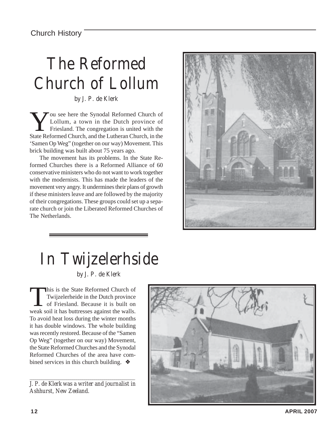# The Reformed Church of Lollum

by J. P. de Klerk

You see here the Synodal Reformed Church of Lollum, a town in the Dutch province of Friesland. The congregation is united with the State Reformed Church, and the Lutheran Church, in the 'Samen Op Weg" (together on our way) Movement. This brick building was built about 75 years ago.

The movement has its problems. In the State Reformed Churches there is a Reformed Alliance of 60 conservative ministers who do not want to work together with the modernists. This has made the leaders of the movement very angry. It undermines their plans of growth if these ministers leave and are followed by the majority of their congregations. These groups could set up a separate church or join the Liberated Reformed Churches of The Netherlands.



# In Twijzelerhside

by J. P. de Klerk

This is the State Reformed Church of Twijzelerheide in the Dutch province of Friesland. Because it is built on weak soil it has buttresses against the walls. To avoid heat loss during the winter months it has double windows. The whole building was recently restored. Because of the "Samen Op Weg" (together on our way) Movement, the State Reformed Churches and the Synodal Reformed Churches of the area have combined services in this church building. ❖

*\_\_\_\_\_\_\_\_\_\_\_\_\_\_\_\_\_\_\_\_\_\_\_\_\_\_\_\_\_\_\_\_\_\_\_\_\_\_\_\_\_\_\_\_\_\_\_\_\_\_\_\_ J. P. de Klerk was a writer and journalist in Ashhurst, New Zeeland.*

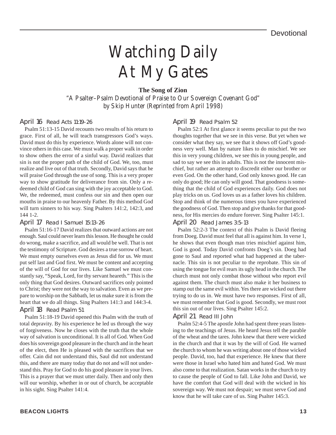# Watching Daily At My Gates

#### **The Song of Zion**

"A Psalter–Psalm Devotional of Praise to Our Sovereign Covenant God" by Skip Hunter (Reprinted from April 1998)

#### April 16 Read Acts 11:19-26

Psalm 51:13-15 David recounts two results of his return to grace. First of all, he will teach transgressors God's ways. David must do this by experience. Words alone will not convince others in this case. We must walk a proper walk in order to show others the error of a sinful way. David realizes that sin is not the proper path of the child of God. We, too, must realize and live out of that truth. Secondly, David says that he will praise God through the use of song. This is a very proper way to show gratitude for deliverance from sin. Only a redeemed child of God can sing with the joy acceptable to God. We, the redeemed, must confess our sin and then open our mouths in praise to our heavenly Father. By this method God will turn sinners to his way. Sing Psalters 141:2, 142:3, and 144 1-2.

#### April 17 Read I Samuel 15:13-26

Psalm 51:16-17 David realizes that outward actions are not enough. Saul could never learn this lesson. He thought he could do wrong, make a sacrifice, and all would be well. That is not the testimony of Scripture. God desires a true sorrow of heart. We must empty ourselves even as Jesus did for us. We must put self last and God first. We must be content and accepting of the will of God for our lives. Like Samuel we must constantly say, "Speak, Lord, for thy servant heareth." This is the only thing that God desires. Outward sacrifices only pointed to Christ; they were not the way to salvation. Even as we prepare to worship on the Sabbath, let us make sure it is from the heart that we do all things. Sing Psalters 141:3 and 144:3-4. April 18 Read Psalm 51

Psalm 51:18-19 David opened this Psalm with the truth of total depravity. By his experience he led us through the way of forgiveness. Now he closes with the truth that the whole way of salvation is unconditional. It is all of God. When God does his sovereign good pleasure in the church and in the heart of the elect, then He is pleased with the sacrifices that we offer. Cain did not understand this, Saul did not understand this, and there are many today that do not and will not understand this. Pray for God to do his good pleasure in your lives. This is a prayer that we must utter daily. Then and only then will our worship, whether in or out of church, be acceptable in his sight. Sing Psalter 141:4.

#### April 19 Read Psalm 52

Psalm 52:1 At first glance it seems peculiar to put the two thoughts together that we see in this verse. But yet when we consider what they say, we see that it shows off God's goodness very well. Man by nature likes to do mischief. We see this in very young children, we see this in young people, and sad to say we see this in adults. This is not the innocent mischief, but rather an attempt to discredit either our brother or even God. On the other hand, God only knows good. He can only do good; He can only will good. That goodness is something that the child of God experiences daily. God does not play tricks on us. God loves us as a father loves his children. Stop and think of the numerous times you have experienced the goodness of God. Then stop and give thanks for that goodness, for His mercies do endure forever. Sing Psalter 145:1.

#### April 20 Read James 3:5-13

Psalm 52:2-3 The context of this Psalm is David fleeing from Doeg. David must feel that all is against him. In verse 1, he shows that even though man tries mischief against him, God is good. Today David confronts Doeg's sin. Doeg had gone to Saul and reported what had happened at the tabernacle. This sin is not peculiar to the reprobate. This sin of using the tongue for evil rears its ugly head in the church. The church must not only combat those without who report evil against them. The church must also make it her business to stamp out the same evil within. Yes there are wicked out there trying to do us in. We must have two responses. First of all, we must remember that God is good. Secondly, we must root this sin out of our lives. Sing Psalter 145:2.

#### April 21 Read III John

Psalm 52:4-5 The apostle John had spent three years listening to the teachings of Jesus. He heard Jesus tell the parable of the wheat and the tares. John knew that there were wicked in the church and that it was by the will of God. He warned the church to whom he was writing about one of those wicked people. David, too, had that experience. He knew that there were those in Israel who hated him and hated God. We must also come to that realization. Satan works in the church to try to cause the people of God to fall. Like John and David, we have the comfort that God will deal with the wicked in his sovereign way. We must not despair; we must serve God and know that he will take care of us. Sing Psalter 145:3.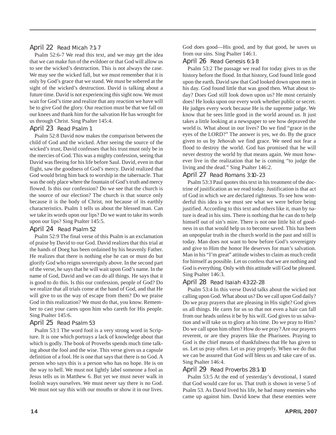#### April 22 Read Micah 7:1-7

Psalm 52:6-7 We read this text, and we may get the idea that we can make fun of the evildoer or that God will allow us to see the wicked's destruction. This is not always the case. We may see the wicked fall, but we must remember that it is only by God's grace that we stand. We must be sobered at the sight of the wicked's destruction. David is talking about a future time. David is not experiencing this sight now. We must wait for God's time and realize that any reaction we have will be to give God the glory. Our reaction must be that we fall on our knees and thank him for the salvation He has wrought for us through Christ. Sing Psalter 145:4.

#### April 23 Read Psalm 1

Psalm 52:8 David now makes the comparison between the child of God and the wicked. After seeing the source of the wicked's trust, David confesses that his trust must only be in the mercies of God. This was a mighty confession, seeing that David was fleeing for his life before Saul. David, even in that flight, saw the goodness of God's mercy. David realized that God would bring him back to worship in the tabernacle. That was the only place where the fountain of God's truth and mercy flowed. Is this our confession? Do we see that the church is the source of our election? The church is that source only because it is the body of Christ, not because of its earthly characteristics. Psalm 1 tells us about the blessed man. Can we take its words upon our lips? Do we want to take its words upon our lips? Sing Psalter 145:5.

#### April 24 Read Psalm 52

Psalm 52:9 The final verse of this Psalm is an exclamation of praise by David to our God. David realizes that this trial at the hands of Doeg has been ordained by his heavenly Father. He realizes that there is nothing else he can or must do but glorify God who reigns sovereignly above. In the second part of the verse, he says that he will wait upon God's name. In the name of God, David and we can do all things. He says that it is good to do this. Is this our confession, people of God? Do we realize that all trials come at the hand of God, and that He will give to us the way of escape from them? Do we praise God in this realization? We must do that, you know. Remember to cast your cares upon him who careth for His people. Sing Psalter 145:6.

#### April 25 Read Psalm 53

Psalm 53:1 The word fool is a very strong word in Scripture. It is one which portrays a lack of knowledge about that which is godly. The book of Proverbs spends much time talking about the fool and the wise. This verse gives us a capsule definition of a fool. He is one that says that there is no God. A person who says this is a person who has no hope. He is on the way to hell. We must not lightly label someone a fool as Jesus tells us in Matthew 6. But yet we must never walk in foolish ways ourselves. We must never say there is no God. We must not say this with our mouths or show it in our lives. God does good—His good, and by that good, he saves us from our sins. Sing Psalter 146:1.

April 26 Read Genesis 6:1-8

Psalm 53:2 The passage we read for today gives to us the history before the flood. In that history, God found little good upon the earth. David saw that God looked down upon men in his day. God found little that was good then. What about today? Does God still look down upon us? He most certainly does! He looks upon our every work whether public or secret. He judges every work because He is the supreme judge. We know that he sees little good in the world around us. It just takes a little looking at a newspaper to see how depraved the world is. What about in our lives? Do we find "grace in the eyes of the LORD?" The answer is yes, we do. By the grace given to us by Jehovah we find grace. We need not fear a flood to destroy the world. God has promised that he will never destroy the world by that means again. We must however live in the realization that he is coming "to judge the living and the dead." Sing Psalter 146:2.

#### April 27 Read Romans 3:10-23

Psalm 53:3 Paul quotes this text in his treatment of the doctrine of justification as we read today. Justification is that act of God in which we are declared righteous. To see how wonderful this idea is we must see what we were before being justified. According to this text and others like it, man by nature is dead in his sins. There is nothing that he can do to help himself out of sin's mire. There is not one little bit of goodness in us that would help us to become saved. This has been an unpopular truth in the church world in the past and still is today. Man does not want to bow before God's sovereignty and give to Him the honor He deserves for man's salvation. Man in his "I'm great" attitude wishes to claim as much credit for himself as possible. Let us confess that we are nothing and God is everything. Only with this attitude will God be pleased. Sing Psalter 146:3.

#### April 28 Read Isaiah 43:22-28

Psalm 53:4 In this verse David talks about the wicked not calling upon God. What about us? Do we call upon God daily? Do we pray prayers that are pleasing in His sight? God gives us all things. He cares for us so that not even a hair can fall from our heads unless it be by his will. God gives to us salvation and will take us to glory at his time. Do we pray to Him? Do we call upon him often? How do we pray? Are our prayers reverent, or are they prayers like the Pharisees. Praying to God is the chief means of thankfulness that He has given to us. Let us pray often. Let us pray properly. When we do that we can be assured that God will bless us and take care of us. Sing Psalter 146:4.

#### April 29 Read Proverbs 28:1-10

Psalm 53:5 At the end of yesterday's devotional, I stated that God would care for us. That truth is shown in verse 5 of Psalm 53. As David lived his life, he had many enemies who came up against him. David knew that these enemies were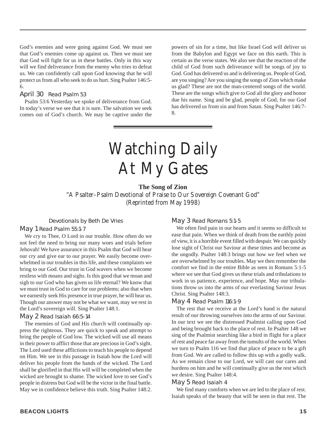God's enemies and were going against God. We must see that God's enemies come up against us. Then we must see that God will fight for us in these battles. Only in this way will we find deliverance from the enemy who tries to defeat us. We can confidently call upon God knowing that he will protect us from all who seek to do us hurt. Sing Psalter 146:5- 6.

#### April 30 Read Psalm 53

Psalm 53:6 Yesterday we spoke of deliverance from God. In today's verse we see that it is sure. The salvation we seek comes out of God's church. We may be captive under the powers of sin for a time, but like Israel God will deliver us from the Babylon and Egypt we face on this earth. This is certain as the verse states. We also see that the reaction of the child of God from such deliverance will be songs of joy to God. God has delivered us and is delivering us. People of God, are you singing? Are you singing the songs of Zion which make us glad? These are not the man-centered songs of the world. These are the songs which give to God all the glory and honor due his name. Sing and be glad, people of God, for our God has delivered us from sin and from Satan. Sing Psalter 146:7- 8.

# Watching Daily At My Gates

#### **The Song of Zion**

"A Psalter–Psalm Devotional of Praise to Our Sovereign Covenant God" (Reprinted from May 1998)

Devotionals by Beth De Vries

#### May 1 Read Psalm 55:1-7

We cry to Thee, O Lord in our trouble. How often do we not feel the need to bring our many woes and trials before Jehovah! We have assurance in this Psalm that God will hear our cry and give ear to our prayer. We easily become overwhelmed in our troubles in this life, and these complaints we bring to our God. Our trust in God wavers when we become restless with moans and sighs. Is this good that we moan and sigh to our God who has given us life eternal? We know that we must trust in God to care for our problems; also that when we earnestly seek His presence in true prayer, he will hear us. Though our answer may not be what we want, may we rest in the Lord's sovereign will. Sing Psalter 148:1.

#### May 2 Read Isaiah 66:5-14

The enemies of God and His church will continually oppress the righteous. They are quick to speak and attempt to bring the people of God low. The wicked will use all means in their power to afflict those that are precious in God's sight. The Lord used these afflictions to teach his people to depend on Him. We see in this passage in Isaiah how the Lord will deliver his people from the hands of the wicked. The Lord shall be glorified in that His will will be completed when the wicked are brought to shame. The wicked love to see God's people in distress but God will be the victor in the final battle. May we in confidence believe this truth. Sing Psalter 148:2.

#### May 3 Read Romans 5:1-5

We often find pain in our hearts and it seems so difficult to ease that pain. When we think of death from the earthly point of view, it is a horrible event filled with despair. We can quickly lose sight of Christ our Saviour at these times and become as the ungodly. Psalter 148:3 brings out how we feel when we are overwhelmed by our troubles. May we then remember the comfort we find in the entire Bible as seen in Romans 5:1-5 where we see that God gives us these trials and tribulations to work in us patience, experience, and hope. May our tribulations throw us into the arms of our everlasting Saviour Jesus Christ. Sing Psalter 148:3.

#### May 4 Read Psalm 116:1-9

The rest that we receive at the Lord's hand is the natural result of our throwing ourselves into the arms of our Saviour. In our text we see the distressed Psalmist calling upon God and being brought back to the place of rest. In Psalter 148 we sing of the Psalmist searching like a bird in flight for a place of rest and peace far away from the tumults of the world. When we turn to Psalm 116 we find that place of peace to be a gift from God. We are called to follow this up with a godly walk. As we remain close to our Lord, we will cast our cares and burdens on him and he will continually give us the rest which we desire. Sing Psalter 148:4.

#### May 5 Read Isaiah 4

We find many comforts when we are led to the place of rest. Isaiah speaks of the beauty that will be seen in that rest. The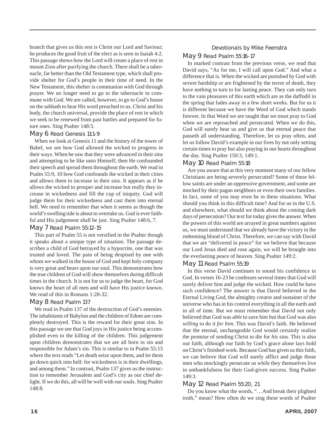branch that gives us this rest is Christ our Lord and Saviour; he produces the good fruit of the elect as is seen in Isaiah 4:2. This passage shows how the Lord will create a place of rest in mount Zion after purifying the church. There shall be a tabernacle, far better than the Old Testament type, which shall provide shelter for God's people in their time of need. In the New Testament, this shelter is communion with God through prayer. We no longer need to go to the tabernacle to commune with God. We are called, however, to go to God's house on the sabbath to hear His word preached to us. Christ and his body, the church universal, provide the place of rest in which we seek to be renewed from past battles and prepared for future ones. Sing Psalter 148:5.

#### May 6 Read Genesis 11:1-9

When we look at Genesis 11 and the history of the tower of Babel, we see how God allowed the wicked to progress in their ways. When he saw that they were advanced in their sins and attempting to be like unto Himself; then He confounded their speech and spread them throughout the earth. We read in Psalm 55:9, 10 how God confounds the wicked in their cities and allows them to increase in their sins. It appears as if he allows the wicked to prosper and increase but really they increase in wickedness and fill the cup of iniquity. God will judge them for their wickedness and cast them into eternal hell. We need to remember that when it seems as though the world's swelling tide is about to overtake us. God is ever faithful and His judgement shall be just. Sing Psalter 148:6, 7.

#### May 7 Read Psalm 55:12-15

This part of Psalm 55 is not versified in the Psalter though it speaks about a unique type of situation. The passage describes a child of God betrayed by a hypocrite, one that was trusted and loved. The pain of being despised by one with whom we walked in the house of God and kept holy company is very great and bears upon our soul. This demonstrates how the true children of God will show themselves during difficult times in the church. It is not for us to judge the heart, for God knows the heart of all men and will have His justice known. We read of this in Romans 1:28-32.

#### May 8 Read Psalm 137

We read in Psalm 137 of the destruction of God's enemies. The inhabitants of Babylon and the children of Edom are completely destroyed. This is the reward for their great sins. In this passage we see that God joys in His justice being accomplished even to the killing of the children. This judgement upon children demonstrates that we are all born in sin and responsible for Adam's sin. This is similar to in Psalm 55:15 where the text reads "Let death seize upon them, and let them go down quick into hell: for wickedness is in their dwellings, and among them." In contrast, Psalm 137 gives us the instruction to remember Jerusalem and God's city as our chief delight. If we do this, all will be well with our souls. Sing Psalter 148:8.

#### Devotionals by Mike Feenstra

#### May 9 Read Psalm 55:16-17

In marked contrast from the previous verse, we read that David says, "As for me, I will call upon God." And what a difference that is. When the wicked are punished by God with severe hardship or are frightened by the terror of death, they have nothing to turn to for lasting peace. They can only turn to the vain pleasures of this earth which are as the daffodil in the spring that fades away in a few short weeks. But for us it is different because we have the Word of God which stands forever. In that Word we are taught that we must pray to God when we are reproached and persecuted. When we do this, God will surely hear us and give us that eternal peace that passeth all understanding. Therefore, let us pray often, and let us follow David's example in our lives by not only setting certain times to pray but also praying in our hearts throughout the day. Sing Psalter 150:3, 149:1.

#### May 10 Read Psalm 55:18

Are you aware that at this very moment many of our fellow Christians are being severely persecuted? Some of these fellow saints are under an oppressive government, and some are mocked by their pagan neighbors or even their own families. In fact, some of you may even be in these situations. What should you think in this difficult time? And for us in the U.S. and elsewhere, what should we think about the coming dark days of persecution? Our text for today gives the answer. When the powers of this world are arrayed in great numbers against us, we must understand that we already have the victory in the redeeming blood of Christ. Therefore, we can say with David that we are "delivered in peace" for we believe that because our Lord Jesus died and rose again, we will be brought into the everlasting peace of heaven. Sing Psalter 149:2.

#### May 11 Read Psalm 55:19

In this verse David continues to sound his confidence in God. In verses 16-23 he confesses several times that God will surely deliver him and judge the wicked. How could he have such confidence? The answer is that David believed in the Eternal Living God, the almighty creator and sustainer of the universe who has in his control everything in all the earth and in all of time. But we must remember that David not only believed that God was *able* to save him but that God was also *willing* to do it *for him*. This was David's faith. He believed that the eternal, unchangeable God would certainly realize the promise of sending Christ to die for *his* sins. This is also our faith, although our faith by God's grace alone lays hold on Christ's finished work. Because God has given us this faith, we can believe that God will surely afflict and judge those men who mockingly persecute us while they themselves live in unthankfulness for their God-given success. Sing Psalter 149:3.

#### May 12 Read Psalm 55:20, 21

Do you know what the words, "…And break their plighted troth," mean? How often do we sing these words of Psalter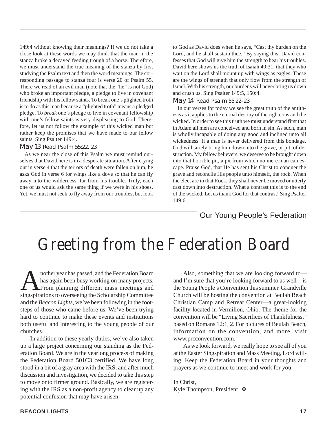149:4 without knowing their meanings? If we do not take a close look at these words we may think that the man in the stanza broke a decayed feeding trough of a horse. Therefore, we must understand the true meaning of the stanza by first studying the Psalm text and then the word meanings. The corresponding passage to stanza four is verse 20 of Psalm 55. There we read of an evil man (note that the "he" is not God) who broke an important pledge, a pledge to live in covenant friendship with his fellow saints. To break one's plighted troth is to do as this man because a "plighted troth" means a pledged pledge. To *break* one's pledge to live in covenant fellowship with one's fellow saints is very displeasing to God. Therefore, let us not follow the example of this wicked man but rather keep the promises that we have made to our fellow saints. Sing Psalter 149:4.

#### May 13 Read Psalm 55:22, 23

As we near the close of this Psalm we must remind ourselves that David here is in a desperate situation. After crying out in verse 4 that the terrors of death were fallen on him, he asks God in verse 6 for wings like a dove so that he can fly away into the wilderness, far from his trouble. Truly, each one of us would ask the same thing if we were in his shoes. Yet, we must not seek to fly away from our troubles, but look to God as David does when he says, "Cast thy burden on the Lord, and he shall sustain thee." By saying this, David confesses that God will give him the strength to bear his troubles. David here shows us the truth of Isaiah 40:31, that they who wait on the Lord shall mount up with wings as eagles. These are the wings of strength that only flow from the strength of Israel. With his strength, our burdens will never bring us down and crush us. Sing Psalter 149:5, 150:4.

#### May 14 Read Psalm 55:22-23

In our verses for today we see the great truth of the antithesis as it applies to the eternal destiny of the righteous and the wicked. In order to see this truth we must understand first that in Adam all men are conceived and born in sin. As such, man is wholly incapable of doing any good and inclined unto all wickedness. If a man is never delivered from this bondage, God will surely bring him down into the grave, or pit, of destruction. My fellow believers, we deserve to be brought down into that horrible pit, a pit from which no mere man can escape. Praise God, that He has sent his Christ to conquer the grave and reconcile His people unto himself, the rock. When the elect are in that Rock, they shall never be moved or utterly cast down into destruction. What a contrast this is to the end of the wicked. Let us thank God for that contrast! Sing Psalter 149:6.

### Our Young People's Federation

### Greeting from the Federation Board

nother year has passed, and the Federation Board<br>has again been busy working on many projects.<br>From planning different mass meetings and<br>singspirations to overseeing the Scholarshin Committee has again been busy working on many projects. **A** From planning different mass meetings and singspirations to overseeing the Scholarship Committee and the *Beacon Lights*, we've been following in the footsteps of those who came before us. We've been trying hard to continue to make these events and institutions both useful and interesting to the young people of our churches.

In addition to these yearly duties, we've also taken up a large project concerning our standing as the Federation Board. We are in the yearlong process of making the Federation Board 501C3 certified. We have long stood in a bit of a gray area with the IRS, and after much discussion and investigation, we decided to take this step to move onto firmer ground. Basically, we are registering with the IRS as a non-profit agency to clear up any potential confusion that may have arisen.

Also, something that we are looking forward to and I'm sure that you're looking forward to as well—is the Young People's Convention this summer. Grandville Church will be hosting the convention at Beulah Beach Christian Camp and Retreat Center—a great-looking facility located in Vermilion, Ohio. The theme for the convention will be "Living Sacrifices of Thankfulness," based on Romans 12:1, 2. For pictures of Beulah Beach, information on the convention, and more, visit www.prcconvention.com.

As we look forward, we really hope to see all of you at the Easter Singspiration and Mass Meeting, Lord willing. Keep the Federation Board in your thoughts and prayers as we continue to meet and work for you.

In Christ, Kyle Thompson, President ❖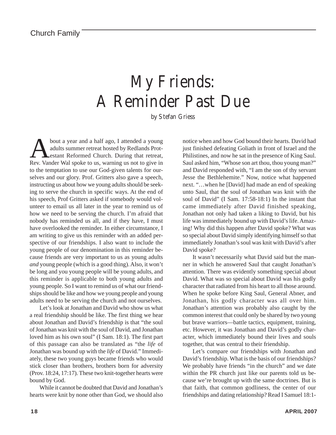## My Friends: A Reminder Past Due

by Stefan Griess

bout a year and a half ago, I attended a young adults summer retreat hosted by Redlands Protestant Reformed Church. During that retreat, Rev. Vander Wal spoke to us, warning us not to give in to the temptation to use our God-given talents for ourselves and our glory. Prof. Gritters also gave a speech, instructing us about how we young adults should be seeking to serve the church in specific ways. At the end of his speech, Prof Gritters asked if somebody would volunteer to email us all later in the year to remind us of how we need to be serving the church. I'm afraid that nobody has reminded us all, and if they have, I must have overlooked the reminder. In either circumstance, I am writing to give us this reminder with an added perspective of our friendships. I also want to include the young people of our denomination in this reminder because friends are very important to us as young adults *and* young people (which is a good thing). Also, it won't be long and you young people will be young adults, and this reminder is applicable to both young adults and young people. So I want to remind us of what our friendships should be like and how we young people and young adults need to be serving the church and not ourselves.

Let's look at Jonathan and David who show us what a real friendship should be like. The first thing we hear about Jonathan and David's friendship is that "the soul of Jonathan was knit with the soul of David, and Jonathan loved him as his own soul" (I Sam. 18:1). The first part of this passage can also be translated as "the *life* of Jonathan was bound up with the *life* of David." Immediately, these two young guys became friends who would stick closer than brothers, brothers born for adversity (Prov. 18:24, 17:17). These two knit-together hearts were bound by God.

While it cannot be doubted that David and Jonathan's hearts were knit by none other than God, we should also notice when and how God bound their hearts. David had just finished defeating Goliath in front of Israel and the Philistines, and now he sat in the presence of King Saul. Saul asked him, "Whose son art thou, thou young man?" and David responded with, "I am the son of thy servant Jesse the Bethlehemite." Now, notice what happened next. "…when he [David] had made an end of speaking unto Saul, that the soul of Jonathan was knit with the soul of David" (I Sam. 17:58-18:1) In the instant that came immediately after David finished speaking, Jonathan not only had taken a liking to David, but his life was immediately bound up with David's life. Amazing! Why did this happen after David spoke? What was so special about David simply identifying himself so that immediately Jonathan's soul was knit with David's after David spoke?

It wasn't necessarily what David said but the manner in which he answered Saul that caught Jonathan's attention. There was evidently something special about David. What was so special about David was his godly character that radiated from his heart to all those around. When he spoke before King Saul, General Abner, and Jonathan, his godly character was all over him. Jonathan's attention was probably also caught by the common interest that could only be shared by two young but brave warriors—battle tactics, equipment, training, etc. However, it was Jonathan and David's godly character, which immediately bound their lives and souls together, that was central to their friendship.

Let's compare our friendships with Jonathan and David's friendship. What is the basis of our friendships? We probably have friends "in the church" and we date within the PR church just like our parents told us because we're brought up with the same doctrines. But is that faith, that common godliness, the center of our friendships and dating relationship? Read I Samuel 18:1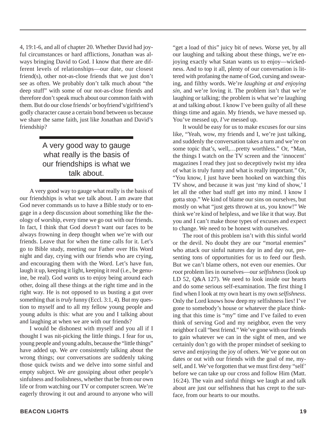4, 19:1-6, and all of chapter 20. Whether David had joyful circumstances or hard afflictions, Jonathan was always bringing David to God. I know that there are different levels of relationships—our date, our closest friend(s), other not-as-close friends that we just don't see as often. We probably don't talk much about "the deep stuff" with some of our not-as-close friends and therefore don't speak much about our common faith with them. But do our close friends' or boyfriend's/girlfriend's godly character cause a certain bond between us because we share the same faith, just like Jonathan and David's friendship?

### A very good way to gauge what really is the basis of our friendships is what we talk about.

A very good way to gauge what really is the basis of our friendships is what we talk about. I am aware that God never commands us to have a Bible study or to engage in a deep discussion about something like the theology of worship, every time we go out with our friends. In fact, I think that God *doesn't* want our faces to be always frowning in deep thought when we're with our friends. Leave that for when the time calls for it. Let's go to Bible study, meeting our Father over His Word night and day, crying with our friends who are crying, and encouraging them with the Word. Let's have fun, laugh it up, keeping it light, keeping it real (i.e., be genuine, be real). God *wants* us to enjoy being around each other, doing all these things at the right time and in the right way. He is not opposed to us busting a gut over something that is *truly* funny (Eccl. 3:1, 4). But my question to myself and to all my fellow young people and young adults is this: what are you and I talking about and laughing at when we are with our friends?

I would be dishonest with myself and you all if I thought I was nit-picking the little things. I fear for us, young people and young adults, because the "little things" have added up. We *are* consistently talking about the wrong things; our conversations are suddenly taking those quick twists and we delve into some sinful and empty subject. We *are* gossiping about other people's sinfulness and foolishness, whether that be from our own life or from watching our TV or computer screen. We're eagerly throwing it out and around to anyone who will "get a load of this" juicy bit of news. Worse yet, by all our laughing and talking about these things, we're enjoying exactly what Satan wants us to enjoy—wickedness. And to top it all, plenty of our conversation is littered with profaning the name of God, cursing and swearing, and filthy words. We're *laughing at and enjoying sin,* and we're loving it. The problem isn't that we're laughing or talking; the problem is what we're laughing at and talking *about.* I know I've been guilty of all these things time and again. My friends, we have messed up. You've messed up, *I've* messed up.

It would be easy for us to make excuses for our sins like, "Yeah, wow, my friends and I, we're just talking, and suddenly the conversation takes a turn and we're on some topic that's, well,…pretty worthless." Or, "Man, the things I watch on the TV screen and the 'innocent' magazines I read they just so deceptively twist my idea of what is truly funny and what is really important." Or, "You know, I just have been hooked on watching this TV show, and because it was just 'my kind of show,' I let all the other bad stuff get into my mind. I know I gotta stop." We kind of blame our sins on ourselves, but mostly on what "just gets thrown at us, you know!" We think we're kind of helpless, and we like it that way. But you and I can't make those types of excuses and expect to change. We need to be honest with ourselves.

The root of this problem isn't with this sinful world or the devil. No doubt they are our "mortal enemies" who attack our sinful natures day in and day out, presenting tons of opportunities for us to feed our flesh. But we can't blame others, not even our enemies. Our *root* problem lies in ourselves—our *selfishness* (look up LD 52, Q&A 127). We need to look inside our hearts and do some serious self-examination. The first thing I find when I look at my own heart is my own *selfishness.* Only the Lord knows how deep my selfishness lies! I've gone to somebody's house or whatever the place thinking that this time is "my" time and I've failed to even think of serving God and my neighbor, even the very neighbor I call "best friend." We've gone with our friends to gain whatever we can in the sight of men, and we certainly don't go with the proper mindset of seeking to serve and enjoying the joy of others. We've gone out on dates or out with our friends with the goal of me, myself, and I. We've forgotten that we must first deny "self' before we can take up our cross and follow Him (Matt. 16:24). The vain and sinful things we laugh at and talk about are just our selfishness that has crept to the surface, from our hearts to our mouths.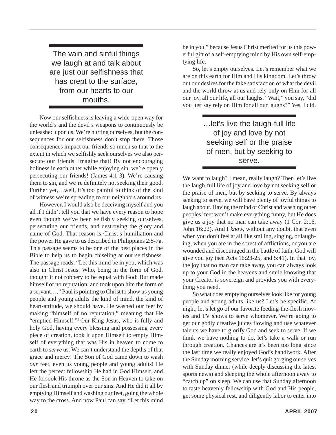The vain and sinful things we laugh at and talk about are just our selfishness that has crept to the surface, from our hearts to our mouths.

Now our selfishness is leaving a wide-open way for the world's and the devil's weapons to continuously be unleashed upon us. We're hurting ourselves, but the consequences for our selfishness don't stop there. Those consequences impact our friends so much so that to the extent in which we selfishly seek ourselves we also persecute our friends. Imagine that! By not encouraging holiness in each other while enjoying sin, we're openly persecuting our friends! (James 4:1-3). We're causing them to sin, and we're definitely not seeking their good. Further yet,…well, it's too painful to think of the kind of witness we're spreading to our neighbors around us.

However, I would also be deceiving myself and you all if I didn't tell you that we have every reason to hope even though we've been selfishly seeking ourselves, persecuting our friends, and destroying the glory and name of God. That reason is Christ's humiliation and the power He gave to us described in Philippians 2:5-7a. This passage seems to be one of the best places in the Bible to help us to begin chiseling at our selfishness. The passage reads, "Let this mind be in you, which was also in Christ Jesus: Who, being in the form of God, thought it not robbery to be equal with God: But made himself of no reputation, and took upon him the form of a servant…." Paul is pointing to Christ to show us young people and young adults the kind of mind, the kind of heart-attitude, we should have. He washed our feet by making "himself of no reputation," meaning that He "emptied Himself."2 Our King Jesus, who is fully and holy God, having every blessing and possessing every piece of creation, took it upon Himself to empty Himself of everything that was His in heaven to come to earth to *serve* us. We can't understand the depths of that grace and mercy! The Son of God came down to wash *our* feet, even us young people and young adults! He left the perfect fellowship He had in God Himself, and He forsook His throne as the Son in Heaven to take on our flesh and triumph over our sins. And He did it all by emptying Himself and washing our feet, going the whole way to the cross. And now Paul can say, "Let this mind

be in you," because Jesus Christ merited for us this powerful gift of a self-emptying mind by His own self-emptying life.

So, let's empty ourselves. Let's remember what we are on this earth for Him and His kingdom. Let's throw out our desires for the fake satisfaction of what the devil and the world throw at us and rely only on Him for all our joy, all our life, all our laughs. "Wait," you say, "did you just say rely on Him for all our laughs?" Yes, I did.

> …let's live the laugh-full life of joy and love by not seeking self or the praise of men, but by seeking to serve.

We want to laugh? I mean, really laugh? Then let's live the laugh-full life of joy and love by not seeking self or the praise of men, but by seeking to serve. By always seeking to serve, we will have plenty of joyful things to laugh about. Having the mind of Christ and washing other peoples' feet won't make everything funny, but He does give us a joy that no man can take away (1 Cor. 2:16, John 16:22). And I *know,* without any doubt, that even when you don't feel at all like smiling, singing, or laughing, when you are in the sorest of afflictions, or you are wounded and discouraged in the battle of faith, God will give you joy (see Acts 16:23-25, and 5:41). In that joy, the joy that no man can take away, you can always look up to your God in the heavens and smile knowing that your Creator is sovereign and provides you with everything you need.

So what does emptying ourselves look like for young people and young adults like us? Let's be specific. At night, let's let go of our favorite feeding-the-flesh movies and TV shows to serve whomever. We're going to get our godly creative juices flowing and use whatever talents we have to glorify God and seek to serve. If we think we have nothing to do, let's take a walk or run through creation. Chances are it's been too long since the last time we really enjoyed God's handiwork. After the Sunday morning service, let's quit gorging ourselves with Sunday dinner (while deeply discussing the latest sports news) and sleeping the whole afternoon away to "catch up" on sleep. We can use that Sunday afternoon to taste heavenly fellowship with God and His people, get some physical rest, and diligently labor to enter into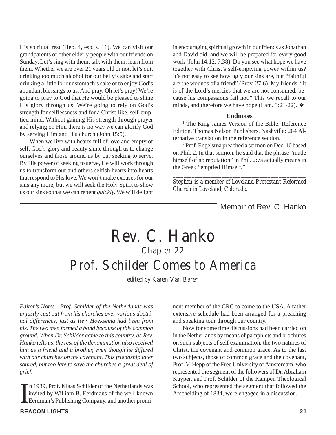His spiritual rest (Heb. 4, esp. v. 11). We can visit our grandparents or other elderly people with our friends on Sunday. Let's sing with them, talk with them, learn from them. Whether we are over 21 years old or not, let's quit drinking too much alcohol for our belly's sake and start drinking a little for our stomach's sake or to enjoy God's abundant blessings to us. And pray, Oh let's pray! We're going to pray to God that He would be pleased to shine His glory through us. We're going to rely on God's strength for selflessness and for a Christ-like, self-emptied mind. Without gaining His strength through prayer and relying on Him there is no way we can glorify God by serving Him and His church (John 15:5).

When we live with hearts full of love and empty of self, God's glory and beauty shine through us to change ourselves and those around us by our seeking to serve. By His power of seeking to serve, He will work through us to transform our and others selfish hearts into hearts that respond to His love. We won't make excuses for our sins any more, but we will seek the Holy Spirit to show us our sins so that we can repent *quickly.* We will delight

in encouraging spiritual growth in our friends as Jonathan and David did, and we will be prepared for every good work (John 14:12, 7:38). Do you see what hope we have together with Christ's self-emptying power within us? It's not easy to see how ugly our sins are, but "faithful are the wounds of a friend" (Prov. 27:6). My friends, "it is of the Lord's mercies that we are not consumed, because his compassions fail not." This we recall to our minds, and therefore we have hope (Lam. 3:21-22).  $\triangleleft$ 

#### **Endnotes**

<sup>1</sup> The King James Version of the Bible. Reference Edition. Thomas Nelson Publishers. Nashville: 264 Alternative translation in the reference section.

2 Prof. Engelsrna preached a sermon on Dec. 10 based on Phil. 2. In that sermon, he said that the phrase "made himself of no reputation" in Phil. 2:7a actually means in the Greek "emptied Himself."

*\_\_\_\_\_\_\_\_\_\_\_\_\_\_\_\_\_\_\_\_\_\_\_\_\_\_\_\_\_\_\_\_\_\_\_\_\_\_\_\_\_\_\_\_\_\_\_\_\_ Stephan is a member of Loveland Protestant Reformed Church in Loveland, Colorado.*

Memoir of Rev. C. Hanko

### Rev. C. Hanko Chapter 22 Prof. Schilder Comes to America

edited by Karen Van Baren

*Editor's Notes—Prof. Schilder of the Netherlands was unjustly cast out from his churches over various doctrinal differences, just as Rev. Hoeksema had been from his. The two men formed a bond because of this common ground. When Dr. Schilder came to this country, as Rev. Hanko tells us, the rest of the denomination also received him as a friend and a brother, even though he differed with our churches on the covenant. This friendship later soured, but too late to save the churches a great deal of grief.*

I n 1939, Prof. Klaas Schilder of the Netherlands was invited by William B. Eerdmans of the well-known Eerdman's Publishing Company, and another prominent member of the CRC to come to the USA. A rather extensive schedule had been arranged for a preaching and speaking tour through our country.

Now for some time discussions had been carried on in the Netherlands by means of pamphlets and brochures on such subjects of self examination, the two natures of Christ, the covenant and common grace. As to the last two subjects, those of common grace and the covenant, Prof. V. Hepp of the Free University of Amsterdam, who represented the segment of the followers of Dr. Abraham Kuyper, and Prof. Schilder of the Kampen Theological School, who represented the segment that followed the Afscheiding of 1834, were engaged in a discussion.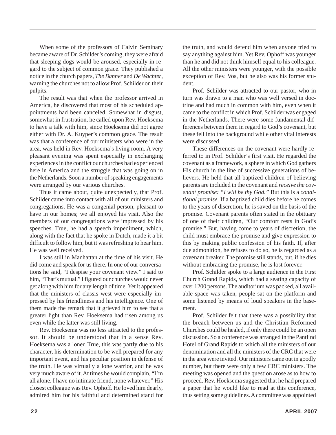When some of the professors of Calvin Seminary became aware of Dr. Schilder's coming, they were afraid that sleeping dogs would be aroused, especially in regard to the subject of common grace. They published a notice in the church papers, *The Banner* and *De Wachter*, warning the churches not to allow Prof. Schilder on their pulpits.

The result was that when the professor arrived in America, he discovered that most of his scheduled appointments had been canceled. Somewhat in disgust, somewhat in frustration, he called upon Rev. Hoeksema to have a talk with him, since Hoeksema did not agree either with Dr. A. Kuyper's common grace. The result was that a conference of our ministers who were in the area, was held in Rev. Hoeksema's living room. A very pleasant evening was spent especially in exchanging experiences in the conflict our churches had experienced here in America and the struggle that was going on in the Netherlands. Soon a number of speaking engagements were arranged by our various churches.

Thus it came about, quite unexpectedly, that Prof. Schilder came into contact with all of our ministers and congregations. He was a congenial person, pleasant to have in our homes; we all enjoyed his visit. Also the members of our congregations were impressed by his speeches. True, he had a speech impediment, which, along with the fact that he spoke in Dutch, made it a bit difficult to follow him, but it was refreshing to hear him. He was well received.

I was still in Manhattan at the time of his visit. He did come and speak for us there. In one of our conversations he said, "I despise your covenant view." I said to him, "That's mutual." I figured our churches would never get along with him for any length of time. Yet it appeared that the ministers of classis west were especially impressed by his friendliness and his intelligence. One of them made the remark that it grieved him to see that a greater light than Rev. Hoeksema had risen among us even while the latter was still living.

Rev. Hoeksema was no less attracted to the professor. It should be understood that in a sense Rev. Hoeksema was a loner. True, this was partly due to his character, his determination to be well prepared for any important event, and his peculiar position in defense of the truth. He was virtually a lone warrior, and he was very much aware of it. At times he would complain, "I'm all alone. I have no intimate friend, none whatever." His closest colleague was Rev. Ophoff. He loved him dearly, admired him for his faithful and determined stand for

the truth, and would defend him when anyone tried to say anything against him. Yet Rev. Ophoff was younger than he and did not think himself equal to his colleague. All the other ministers were younger, with the possible exception of Rev. Vos, but he also was his former student.

Prof. Schilder was attracted to our pastor, who in turn was drawn to a man who was well versed in doctrine and had much in common with him, even when it came to the conflict in which Prof. Schilder was engaged in the Netherlands. There were some fundamental differences between them in regard to God's covenant, but these fell into the background while other vital interests were discussed.

These differences on the covenant were hardly referred to in Prof. Schilder's first visit. He regarded the covenant as a framework, a sphere in which God gathers His church in the line of successive generations of believers. He held that all baptized children of believing parents are included in the covenant and *receive the covenant promise: "I will be thy God."* But this is a *conditional promise.* If a baptized child dies before he comes to the years of discretion, he is saved on the basis of the promise. Covenant parents often stated in the obituary of one of their children, "Our comfort rests in God's promise." But, having come to years of discretion, the child must embrace the promise and give expression to this by making public confession of his faith. If, after due admonition, he refuses to do so, he is regarded as a covenant breaker. The promise still stands, but, if he dies without embracing the promise, he is lost forever.

Prof. Schilder spoke to a large audience in the First Church Grand Rapids, which had a seating capacity of over 1200 persons. The auditorium was packed, all available space was taken, people sat on the platform and some listened by means of loud speakers in the basement.

Prof. Schilder felt that there was a possibility that the breach between us and the Christian Reformed Churches could be healed, if only there could be an open discussion. So a conference was arranged in the Pantlind Hotel of Grand Rapids to which all the ministers of our denomination and all the ministers of the CRC that were in the area were invited. Our ministers came out in goodly number, but there were only a few CRC ministers. The meeting was opened and the question arose as to how to proceed. Rev. Hoeksema suggested that he had prepared a paper that he would like to read at this conference, thus setting some guidelines. A committee was appointed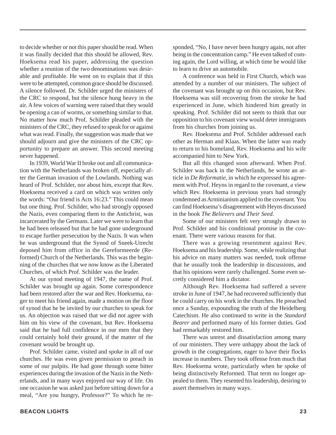to decide whether or not this paper should be read. When it was finally decided that this should be allowed, Rev. Hoeksema read his paper, addressing the question whether a reunion of the two denominations was desirable and profitable. He went on to explain that if this were to be attempted, common grace should be discussed. A silence followed. Dr. Schilder urged the ministers of the CRC to respond, but the silence hung heavy in the air. A few voices of warning were raised that they would be opening a can of worms, or something similar to that. No matter how much Prof. Schilder pleaded with the ministers of the CRC, they refused to speak for or against what was read. Finally, the suggestion was made that we should adjourn and give the ministers of the CRC opportunity to prepare an answer. This second meeting never happened.

In 1939, World War II broke out and all communication with the Netherlands was broken off, especially after the German invasion of the Lowlands. Nothing was heard of Prof. Schilder, nor about him, except that Rev. Hoeksema received a card on which was written only the words: "Our friend is Acts 16:23." This could mean but one thing. Prof. Schilder, who had strongly opposed the Nazis, even comparing them to the Antichrist, was incarcerated by the Germans. Later we were to learn that he had been released but that he had gone underground to escape further persecution by the Nazis. It was when he was underground that the Synod of Sneek-Utrecht deposed him from office in the Gereformeerde (Reformed) Church of the Netherlands. This was the beginning of the churches that we now know as the Liberated Churches, of which Prof. Schilder was the leader.

At our synod meeting of 1947, the name of Prof. Schilder was brought up again. Some correspondence had been restored after the war and Rev. Hoeksema, eager to meet his friend again, made a motion on the floor of synod that he be invited by our churches to speak for us. An objection was raised that we did not agree with him on his view of the covenant, but Rev. Hoeksema said that he had full confidence in our men that they could certainly hold their ground, if the matter of the covenant would be brought up.

Prof. Schilder came, visited and spoke in all of our churches. He was even given permission to preach in some of our pulpits. He had gone through some bitter experiences during the invasion of the Nazis in the Netherlands, and in many ways enjoyed our way of life. On one occasion he was asked just before sitting down for a meal, "Are you hungry, Professor?" To which he responded, "No, I have never been hungry again, not after being in the concentration camp." He even talked of coming again, the Lord willing, at which time he would like to learn to drive an automobile.

A conference was held in First Church, which was attended by a number of our ministers. The subject of the covenant was brought up on this occasion, but Rev. Hoeksema was still recovering from the stroke he had experienced in June, which hindered him greatly in speaking. Prof. Schilder did not seem to think that our opposition to his covenant view would deter immigrants from his churches from joining us.

Rev. Hoeksema and Prof. Schilder addressed each other as Herman and Klaas. When the latter was ready to return to his homeland, Rev. Hoeksema and his wife accompanied him to New York.

But all this changed soon afterward. When Prof. Schilder was back in the Netherlands, he wrote an article in *De Reformatie*, in which he expressed his agreement with Prof. Heyns in regard to the covenant, a view which Rev. Hoeksema in previous years had strongly condemned as Arminianism applied to the covenant. You can find Hoeksema's disagreement with Heyns discussed in the book *The Believers and Their Seed*.

Some of our ministers felt very strongly drawn to Prof. Schilder and his conditional promise in the covenant. There were various reasons for that.

There was a growing resentment against Rev. Hoeksema and his leadership. Some, while realizing that his advice on many matters was needed, took offense that he usually took the leadership in discussions, and that his opinions were rarely challenged. Some even secretly considered him a dictator.

Although Rev. Hoeksema had suffered a severe stroke in June of 1947, he had recovered sufficiently that he could carry on his work in the churches. He preached once a Sunday, expounding the truth of the Heidelberg Catechism. He also continued to write in the *Standard Bearer* and performed many of his former duties. God had remarkably restored him.

There was unrest and dissatisfaction among many of our ministers. They were unhappy about the lack of growth in the congregations, eager to have their flocks increase in numbers. They took offense from much that Rev. Hoeksema wrote, particularly when he spoke of being distinctively Reformed. That term no longer appealed to them. They resented his leadership, desiring to assert themselves in many ways.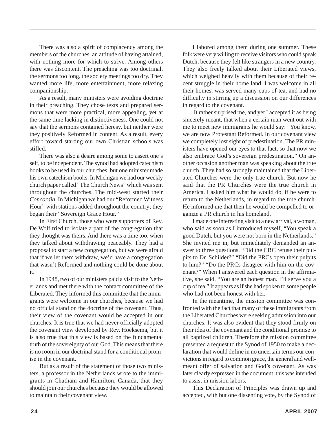There was also a spirit of complacency among the members of the churches, an attitude of having attained, with nothing more for which to strive. Among others there was discontent. The preaching was too doctrinal, the sermons too long, the society meetings too dry. They wanted more life, more entertainment, more relaxing companionship.

As a result, many ministers were avoiding doctrine in their preaching. They chose texts and prepared sermons that were more practical, more appealing, yet at the same time lacking in distinctiveness. One could not say that the sermons contained heresy, but neither were they positively Reformed in content. As a result, every effort toward starting our own Christian schools was stifled.

There was also a desire among some to assert one's self, to be independent. The synod had adopted catechism books to be used in our churches, but one minister made his own catechism books. In Michigan we had our weekly church paper called "The Church News" which was sent throughout the churches. The mid-west started their *Concordia*. In Michigan we had our "Reformed Witness Hour" with stations added throughout the country; they began their "Sovereign Grace Hour."

In First Church, those who were supporters of Rev. De Wolf tried to isolate a part of the congregation that they thought was theirs. And there was a time too, when they talked about withdrawing peaceably. They had a proposal to start a new congregation, but we were afraid that if we let them withdraw, we'd have a congregation that wasn't Reformed and nothing could be done about it.

In 1948, two of our ministers paid a visit to the Netherlands and met there with the contact committee of the Liberated. They informed this committee that the immigrants were welcome in our churches, because we had no official stand on the doctrine of the covenant. Thus, their view of the covenant would be accepted in our churches. It is true that we had never officially adopted the covenant view developed by Rev. Hoeksema, but it is also true that this view is based on the fundamental truth of the sovereignty of our God. This means that there is no room in our doctrinal stand for a conditional promise in the covenant.

But as a result of the statement of those two ministers, a professor in the Netherlands wrote to the immigrants in Chatham and Hamilton, Canada, that they should join our churches because they would be allowed to maintain their covenant view.

I labored among them during one summer. These folk were very willing to receive visitors who could speak Dutch, because they felt like strangers in a new country. They also freely talked about their Liberated views, which weighed heavily with them because of their recent struggle in their home land. I was welcome in all their homes, was served many cups of tea, and had no difficulty in stirring up a discussion on our differences in regard to the covenant.

 It rather surprised me, and yet I accepted it as being sincerely meant, that when a certain man went out with me to meet new immigrants he would say: "You know, we are now Protestant Reformed. In our covenant view we completely lost sight of predestination. The PR ministers have opened our eyes to that fact, so that now we also embrace God's sovereign predestination." On another occasion another man was speaking about the true church. They had so strongly maintained that the Liberated Churches were the only true church. But now he said that the PR Churches were the true church in America. I asked him what he would do, if he were to return to the Netherlands, in regard to the true church. He informed me that then he would be compelled to organize a PR church in his homeland.

I made one interesting visit to a new arrival, a woman, who said as soon as I introduced myself, "You speak a good Dutch, but you were not born in the Netherlands." She invited me in, but immediately demanded an answer to three questions. "Did the CRC refuse their pulpits to Dr. Schilder?" "Did the PRCs open their pulpits to him?" "Do the PRCs disagree with him on the covenant?" When I answered each question in the affirmative, she said, "You are an honest man. I'll serve you a cup of tea." It appears as if she had spoken to some people who had not been honest with her.

In the meantime, the mission committee was confronted with the fact that many of these immigrants from the Liberated Churches were seeking admission into our churches. It was also evident that they stood firmly on their idea of the covenant and the conditional promise to all baptized children. Therefore the mission committee presented a request to the Synod of 1950 to make a declaration that would define in no uncertain terms our convictions in regard to common grace, the general and wellmeant offer of salvation and God's covenant. As was later clearly expressed in the document, this was intended to assist in mission labors.

This Declaration of Principles was drawn up and accepted, with but one dissenting vote, by the Synod of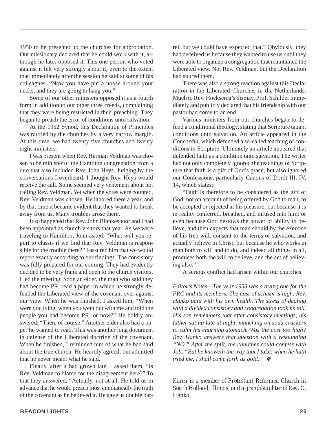1950 to be presented to the churches for approbation. Our missionary declared that he could work with it, although he later opposed it. This one person who voted against it felt very strongly about it, even to the extent that immediately after the session he said to some of his colleagues, "Now you have put a noose around your necks, and they are going to hang you."

Some of our other ministers opposed it as a fourth form in addition to our other three creeds, complaining that they were being restricted in their preaching. They began to preach the error of conditions unto salvation.

At the 1952 Synod, this Declaration of Principles was ratified by the churches by a very narrow margin. At this time, we had twenty five churches and twenty eight ministers.

I was present when Rev. Herman Veldman was chosen to be minister of the Hamilton congregation from a duo that also included Rev. John Heys. Judging by the conversations I overheard, I thought Rev. Heys would receive the call. Some seemed very vehement about not calling Rev. Veldman. Yet when the votes were counted, Rev. Veldman was chosen. He labored there a year, and by that time it became evident that they wanted to break away from us. Many troubles arose there.

It so happened that Rev. John Blankespoor and I had been appointed as church visitors that year. As we were traveling to Hamilton, John asked: "What will you report to classis if we find that Rev. Veldman is responsible for the trouble there?" I assured him that we would report exactly according to our findings. The consistory was fully prepared for our coming. They had evidently decided to be very frank and open to the church visitors. I led the meeting. Soon an elder, the man who said they had become PR, read a paper in which he strongly defended the Liberated view of the covenant over against our view. When he was finished, I asked him, "When were you lying, when you went out with me and told the people you had become PR, or now?" He boldly answered: "Then, of course." Another elder also had a paper he wanted to read. This was another long document in defense of the Liberated doctrine of the covenant. When he finished, I reminded him of what he had said about the true church. He heartily agreed, but admitted that he never meant what he said.

Finally, after it had grown late, I asked them, "Is Rev. Veldman to blame for the disagreement here?" To that they answered, "Actually, not at all. He told us in advance that he would preach most emphatically the truth of the covenant as he believed it. He gave us double barrel, but we could have expected that." Obviously, they had deceived us because they wanted to use us until they were able to organize a congregation that maintained the Liberated view. Not Rev. Veldman, but the Declaration had soured them.

There was also a strong reaction against this Declaration in the Liberated Churches in the Netherlands. Much to Rev. Hoeksema's dismay, Prof. Schilder immediately and publicly declared that his friendship with our pastor had come to an end.

Various ministers from our churches began to defend a conditional theology, stating that Scripture taught conditions unto salvation. An article appeared in the *Concordia*, which defended a so-called teaching of conditions in Scripture. Ultimately an article appeared that defended faith as a condition unto salvation. The writer had not only completely ignored the teachings of Scripture that faith is a gift of God's grace, but also ignored our Confessions, particularly Canons of Dordt III, IV, 14, which states:

"Faith is therefore to be considered as the gift of God, not on account of being offered by God to man, to be accepted or rejected at his pleasure; but because it is in reality conferred, breathed, and infused into him; or even because God bestows the power or ability to believe, and then expects that man should by the exercise of his free will, consent to the terms of salvation, and actually believe in Christ; but because he who works in man both to will and to do, and indeed all things in all, produces both the will to believe, and the act of believing also."

A serious conflict had arisen within our churches.

*Editor's Notes—The year 1953 was a trying one for the PRC and its members. The cost of schism is high. Rev. Hanko paid with his own health. The stress of dealing with a divided consistory and congregation took its toll. His son remembers that after consistory meetings, his father sat up late at night, munching on soda crackers to calm his churning stomach. Was the cost too high? Rev. Hanko answers that question with a resounding "NO." After the split, the churches could confess with Job, "But he knoweth the way that I take: when he hath tried me, I shall come forth as gold."* ❖

*Karen is a member of Protestant Reformed Church in South Holland, Illinois, and a granddaughter of Rev. C. Hanko.*

*\_\_\_\_\_\_\_\_\_\_\_\_\_\_\_\_\_\_\_\_\_\_\_\_\_\_\_\_\_\_\_\_\_\_\_\_\_\_\_\_\_\_\_\_\_\_\_\_\_\_*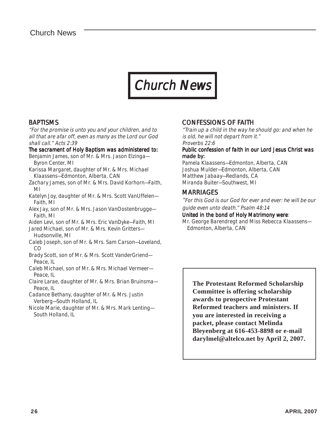## Chur Church News

#### **BAPTISMS**

"For the promise is unto you and your children, and to all that are afar off, even as many as the Lord our God shall call." Acts 2:39

#### The sacrament of Holy Baptism was administered to:

- Benjamin James, son of Mr. & Mrs. Jason Elzinga— Byron Center, MI
- Karissa Margaret, daughter of Mr. & Mrs. Michael Klaassens—Edmonton, Alberta, CAN
- Zachary James, son of Mr. & Mrs. David Korhorn—Faith, MI
- Katelyn Joy, daughter of Mr. & Mrs. Scott VanUffelen— Faith, MI
- Alex Jay, son of Mr. & Mrs. Jason VanOostenbrugge— Faith, MI
- Aiden Levi, son of Mr. & Mrs. Eric VanDyke—Faith, MI
- Jared Michael, son of Mr. & Mrs. Kevin Gritters— Hudsonville, MI
- Caleb Joseph, son of Mr. & Mrs. Sam Carson—Loveland, CO
- Brady Scott, son of Mr. & Mrs. Scott VanderGriend— Peace, IL
- Caleb Michael, son of Mr. & Mrs. Michael Vermeer— Peace, IL
- Claire Larae, daughter of Mr. & Mrs. Brian Bruinsma— Peace, IL
- Cadance Bethany, daughter of Mr. & Mrs. Justin Verberg—South Holland, IL
- Nicole Marie, daughter of Mr. & Mrs. Mark Lenting— South Holland, IL

#### CONFESSIONS OF FAITH

"Train up a child in the way he should go: and when he is old, he will not depart from it." Proverbs 22:6

#### Public confession of faith in our Lord Jesus Christ was made by:

Pamela Klaassens—Edmonton, Alberta, CAN Joshua Mulder—Edmonton, Alberta, CAN Matthew Jabaay—Redlands, CA Miranda Buiter—Southwest, MI

### **MARRIAGES**

"For this God is our God for ever and ever: he will be our guide even unto death." Psalm 48:14

#### United in the bond of Holy Matrimony were:

Mr. George Barendregt and Miss Rebecca Klaassens— Edmonton, Alberta, CAN

**The Protestant Reformed Scholarship Committee is offering scholarship awards to prospective Protestant Reformed teachers and ministers. If you are interested in receiving a packet, please contact Melinda Bleyenberg at 616-453-8898 or e-mail darylmel@altelco.net by April 2, 2007.**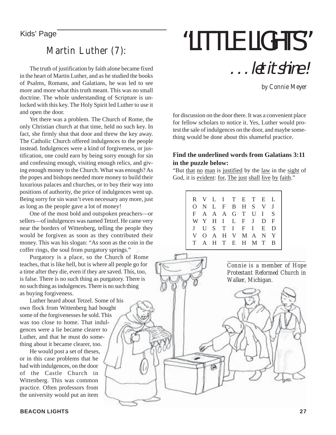### Martin Luther (7):

The truth of justification by faith alone became fixed in the heart of Martin Luther, and as he studied the books of Psalms, Romans, and Galatians, he was led to see more and more what this truth meant. This was no small doctrine. The whole understanding of Scripture is unlocked with this key. The Holy Spirit led Luther to use it and open the door.

Yet there was a problem. The Church of Rome, the only Christian church at that time, held no such key. In fact, she firmly shut that door and threw the key away. The Catholic Church offered indulgences to the people instead. Indulgences were a kind of forgiveness, or justification, one could earn by being sorry enough for sin and confessing enough, visiting enough relics, and giving enough money to the Church. What was enough? As the popes and bishops needed more money to build their luxurious palaces and churches, or to buy their way into positions of authority, the price of indulgences went up. Being sorry for sin wasn't even necessary any more, just as long as the people gave a lot of money!

One of the most bold and outspoken preachers—or sellers—of indulgences was named Tetzel. He came very near the borders of Wittenberg, telling the people they would be forgiven as soon as they contributed their money. This was his slogan: "As soon as the coin in the coffer rings, the soul from purgatory springs."

Purgatory is a place, so the Church of Rome teaches, that is like hell, but is where all people go for a time after they die, even if they are saved. This, too, is false. There is no such thing as purgatory. There is no such thing as indulgences. There is no such thing as buying forgiveness.

Luther heard about Tetzel. Some of his own flock from Wittenberg had bought some of the forgivenesses he sold. This was too close to home. That indulgences were a lie became clearer to Luther, and that he must do something about it became clearer, too.

He would post a set of theses, or in this case problems that he had with indulgences, on the door of the Castle Church in Wittenberg. This was common practice. Often professors from the university would put an item

#### **BEACON LIGHTS 27**

# Kids' Page "LITTLE LIGHTS" . . . let it shine !

by Connie Meyer

for discussion on the door there. It was a convenient place for fellow scholars to notice it. Yes, Luther would protest the sale of indulgences on the door, and maybe something would be done about this shameful practice.

#### **Find the underlined words from Galatians 3:11 in the puzzle below:**

"But that no man is justified by the law in the sight of God, it is evident: for, The just shall live by faith."

|    |  |  | R V L I T E T E L |  |  |
|----|--|--|-------------------|--|--|
|    |  |  | ONLFBHSVJ         |  |  |
|    |  |  | F A A A G T U I S |  |  |
|    |  |  | WYHILFJDF         |  |  |
|    |  |  | J U S T I F I E D |  |  |
| V. |  |  | O A H V M A N Y   |  |  |
|    |  |  | A H T E H M T B   |  |  |
|    |  |  |                   |  |  |

*\_\_\_\_\_\_\_\_\_\_\_\_\_\_\_\_\_\_\_\_\_\_\_\_\_\_\_\_\_\_\_\_\_\_\_\_\_\_\_\_\_\_\_\_\_\_\_\_ Connie is a member of Hope Protestant Reformed Church in Walker, Michigan.*